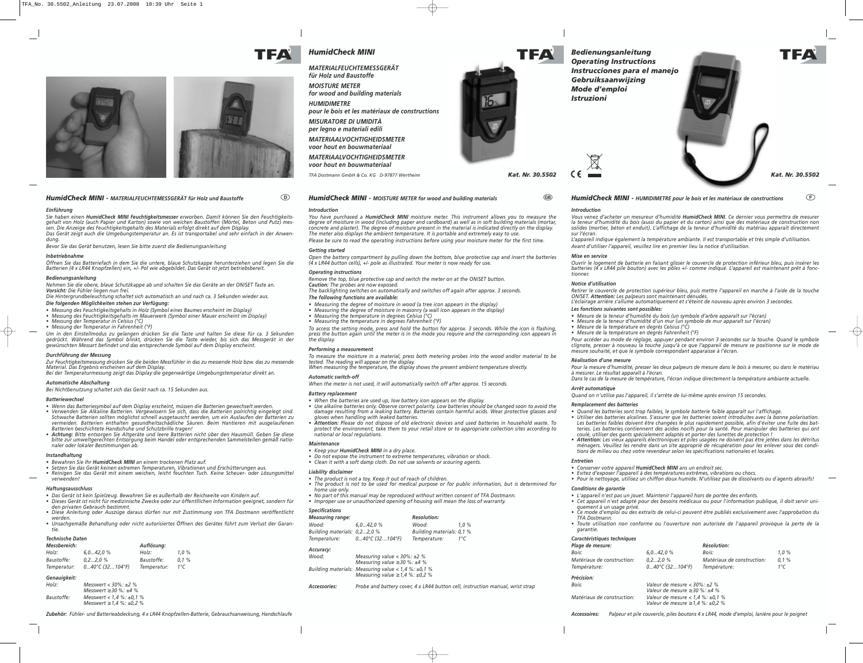*TFA Dostmann GmbH & Co. KG · D-97877 Wertheim Kat. Nr. 30.5502*

## *HumidCheck MINI - MATERIALFEUCHTEMESSGERÄT für Holz und Baustoffe* -

#### *Einführung*

*Sie haben einen HumidCheck MINI Feuchtigkeitsmesser erworben. Damit können Sie den Feuchtigkeitsgehalt von Holz (auch Papier und Karton) sowie von weichen Baustoffen (Mörtel, Beton und Putz) messen. Die Anzeige des Feuchtigkeitsgehalts des Materials erfolgt direkt auf dem Display. Das Gerät zeigt auch die Umgebungstemperatur an. Es ist transportabel und sehr einfach in der Anwen-*

*dung.*

*Bevor Sie das Gerät benutzen, lesen Sie bitte zuerst die Bedienungsanleitung*

#### *Inbetriebnahme*

*Öffnen Sie das Batteriefach in dem Sie die untere, blaue Schutzkappe herunterziehen und legen Sie die Batterien (4 x LR44 Knopfzellen) ein, +/- Pol wie abgebildet. Das Gerät ist jetzt betriebsbereit.*

#### *Bedienungsanleitung*

*Nehmen Sie die obere, blaue Schutzkappe ab und schalten Sie das Geräte an der ON/SET Taste an. Vorsicht: Die Fühler liegen nun frei.* 

- *Die Hintergrundbeleuchtung schaltet sich automatisch an und nach ca. 3 Sekunden wieder aus. Die folgenden Möglichkeiten stehen zur Verfügung:*
- *Messung des Feuchtigkeitsgehalts in Holz (Symbol eines Baumes erscheint im Display)*
- *Messung des Feuchtigkeitsgehalts im Mauerwerk (Symbol einer Mauer erscheint im Display)*
- *Messung der Temperatur in Celsius (°C)*
- *Messung der Temperatur in Fahrenheit (°F)*

*Um in den Einstellmodus zu gelangen drücken Sie die Taste und halten Sie diese für ca. 3 Sekunden gedrückt. Während das Symbol blinkt, drücken Sie die Taste wieder, bis sich das Messgerät in der gewünschten Messart befindet und das entsprechende Symbol auf dem Display erscheint.*

#### *Durchführung der Messung*

*Zur Feuchtigkeitsmessung drücken Sie die beiden Messfühler in das zu messende Holz bzw. das zu messende Material. Das Ergebnis erscheinen auf dem Display.*

*Bei der Temperaturmessung zeigt das Display die gegenwärtige Umgebungstemperatur direkt an.*

#### *Automatische Abschaltung*

*Bei Nichtbenutzung schaltet sich das Gerät nach ca. 15 Sekunden aus.*

#### *Batteriewechsel*

- *Wenn das Batteriesymbol auf dem Display erscheint, müssen die Batterien gewechselt werden. • Verwenden Sie Alkaline Batterien. Vergewissern Sie sich, dass die Batterien polrichtig eingelegt sind. Schwache Batterien sollten möglichst schnell ausgetauscht werden, um ein Auslaufen der Batterien zu vermeiden. Batterien enthalten gesundheitsschädliche Säuren. Beim Hantieren mit ausgelaufenen Batterien beschichtete Handschuhe und Schutzbrille tragen!*
- *• Achtung: Bitte entsorgen Sie Altgeräte und leere Batterien nicht über den Hausmüll. Geben Sie diese bitte zur umweltgerechten Entsorgung beim Handel oder entsprechenden Sammelstellen gemäß nationaler oder lokaler Bestimmungen ab.*

#### *Instandhaltung*

- *Bewahren Sie Ihr HumidCheck MINI an einem trockenen Platz auf.*
- *Setzen Sie das Gerät keinen extremen Temperaturen, Vibrationen und Erschütterungen aus.*
- *Reinigen Sie das Gerät mit einem weichen, leicht feuchten Tuch. Keine Scheuer- oder Lösungsmittel verwenden!*

#### *Haftungsausschluss*

- *Das Gerät ist kein Spielzeug. Bewahren Sie es außerhalb der Reichweite von Kindern auf.*
- *Dieses Gerät ist nicht für medizinische Zwecke oder zur öffentllichen Information geeignet, sondern für den privaten Gebrauch bestimmt.*
- *Diese Anleitung oder Auszüge daraus dürfen nur mit Zustimmung von TFA Dostmann veröffentlicht werden.*
- *Unsachgemäße Behandlung oder nicht autorisiertes Öffnen des Gerätes führt zum Verlust der Garantie.*

#### *Technische Daten*

| Messbereich: |                           | Auflösung:  |          |  |
|--------------|---------------------------|-------------|----------|--|
| Holz:        | 6.042.0%                  | Holz:       | $1.0 \%$ |  |
| Baustoffe:   | $0.22.0\%$                | Baustoffe:  | 0.1%     |  |
| Temperatur:  | $040^{\circ}$ C (32104°F) | Temperatur: | 1°C      |  |

#### *Genauigkeit:*

| Holz:      | Messwert $<$ 30%: $\pm$ 2 %<br>Messwert $\geq$ 30 %: $\pm$ 4 %           |
|------------|--------------------------------------------------------------------------|
| Baustoffe: | Messwert < $1.4 \%$ : $\pm 0.1 \%$<br>Messwert $\geq 1.4$ %: $\pm 0.2$ % |

*Zubehör: Fühler- und Batterieabdeckung, 4 x LR44 Knopfzellen-Batterie, Gebrauchsanweisung, Handschlaufe*

*HumidCheck MINI - MOISTURE METER for wood and building materials*

#### *Introduction*

*You have purchased a HumidCheck MINI moisture meter. This instrument allows you to measure the degree of moisture in wood (including paper and cardboard) as well as in soft building materials (mortar, concrete and plaster). The degree of moisture present in the material is indicated directly on the display. The meter also displays the ambient temperature. It is portable and extremely easy to use.*

*Please be sure to read the operating instructions before using your moisture meter for the first time. Getting started*

*Open the battery compartment by pulling down the bottom, blue protective cap and insert the batteries (4 x LR44 button cells), +/- pole as illustrated. Your meter is now ready for use.*

#### *Operating instructions*

*Remove the top, blue protective cap and switch the meter on at the ON/SET button.* 

*Caution: The probes are now exposed. The backlighting switches on automatically and switches off again after approx. 3 seconds. The following functions are available:*

- *Measuring the degree of moisture in wood (a tree icon appears in the display)*
- *Measuring the degree of moisture in masonry (a wall icon appears in the display)*
- *Measuring the temperature in degrees Celsius (°C)*
- *Measuring the temperature in degrees Fahrenheit (°F)*

*To access the setting mode, press and hold the button for approx. 3 seconds. While the icon is flashing, press the button again until the meter is in the mode you require and the corresponding icon appears in the display.*

#### *Performing a measurement*

*To measure the moisture in a material, press both metering probes into the wood and/or material to be tested. The reading will appear on the display.*

*When measuring the temperature, the display shows the present ambient temperature directly. Automatic switch-off*

## *When the meter is not used, it will automatically switch off after approx. 15 seconds.*

#### *Battery replacement*

- *When the batteries are used up, low battery icon appears on the display. • Use alkaline batteries only. Observe correct polarity. Low batteries should be changed soon to avoid the*
- *damage resulting from a leaking battery. Batteries contain harmful acids. Wear protective glasses and gloves when handling with leaked batteries.*
- *• Attention: Please do not dispose of old electronic devices and used batteries in household waste. To protect the environment, take them to your retail store or to appropriate collection sites according to national or local regulations.*

#### *Maintenance*

*• Keep your HumidCheck MINI in a dry place.*

- *Do not expose the instrument to extreme temperatures, vibration or shock.*
- *Clean it with a soft damp cloth. Do not use solvents or scouring agents.*

#### *Liability disclaimer*

- *The product is not a toy. Keep it out of reach of children.*
- *The product is not to be used for medical purpose or for public information, but is determined for*
- *home use only. • No part of this manual may be reproduced without written consent of TFA Dostmann.*
- *Improper use or unauthorized opening of housing will mean the loss of warranty.*

#### *Specifications*

| Measuring range:             |                           | <b>Resolution:</b>        |              |
|------------------------------|---------------------------|---------------------------|--------------|
| Wood:                        | 6.042.0%                  | Wood:                     | $1.0 \%$     |
| Building materials: 0,22,0 % |                           | Building materials: 0.1 % |              |
| Temperature:                 | $040^{\circ}$ C (32104°F) | Temperature:              | $1^{\circ}C$ |

### *Accuracy:*

| Wood:        | Measuring value $<$ 30%: $\pm$ 2 %<br>Measuring value $\geq$ 30 %: $\pm$ 4 %                            |
|--------------|---------------------------------------------------------------------------------------------------------|
|              | Building materials: Measuring value $< 1.4$ %: $\pm 0.1$ %<br>Measuring value $\geq 1.4$ %: $\pm 0.2$ % |
| Accessories: | Probe and battery cover. 4 x LR44 button cell. instruction manual, wrist strat                          |

## *HumidCheck MINI - HUMIDIMETRE pour le bois et les matériaux de constructions*

*Vous venez d'acheter un mesureur d'humidité HumidCheck MINI. Ce dernier vous permettra de mesurer la teneur d'humidité du bois (aussi du papier et du carton) ainsi que des matériaux de construction non solides (mortier, béton et enduit). L'affichage de la teneur d'humidité du matériau apparaît directement*

*Introduction sur l'écran.* 

*L'appareil indique également la température ambiante. Il est transportable et très simple d'utilisation. Avant d'utiliser l'appareil, veuillez lire en premier lieu la notice d'utilisation.*

*Mise en service tionner.*

*Ouvrir le logement de batterie en faisant glisser le couvercle de protection inférieur bleu, puis insérer les batteries (4 x LR44 pile bouton) avec les pôles +/- comme indiqué. L'appareil est maintenant prêt à fonc-*

# *Notice d'utilisation*

*Retirer le couvercle de protection supérieur bleu, puis mettre l'appareil en marche à l'aide de la touche ON/SET. Attention: Les palpeurs sont maintenant dénudés. L'éclairage arrière s'allume automatiquement et s'éteint de nouveau après environ 3 secondes.*

#### *Les fonctions suivantes sont possibles:*

*• Mesure de la teneur d'humidité du bois (un symbole d'arbre apparaît sur l'écran)*

*• Mesure de la teneur d'humidité d'un mur (un symbole de mur apparaît sur l'écran)*

*• Mesure de la température en degrés Celsius (°C)*

*• Mesure de la température en degrés Fahrenheit (°F)*

*Pour accéder au mode de réglage, appuyer pendant environ 3 secondes sur la touche. Quand le symbole clignote, presser à nouveau la touche jusqu'à ce que l'appareil de mesure se positionne sur le mode de mesure souhaité, et que le symbole correspondant apparaisse à l'écran.*

#### *Réalisation d'une mesure*

*Pour la mesure d'humidité, presser les deux palpeurs de mesure dans le bois à mesurer, ou dans le matériau à mesurer. Le résultat apparaît à l'écran.*

*Dans le cas de la mesure de température, l'écran indique directement la température ambiante actuelle.*

## *Arrêt automatique*

- 
- 

*Quand on n'utilise pas l'appareil, il s'arrête de lui-même après environ 15 secondes.*

#### *Remplacement des batteries*

*• Quand les batteries sont trop faibles, le symbole batterie faible apparaît sur l'affichage.* 

*• Utiliser des batteries alcalines. S'assurer que les batteries soient introduites avec la bonne polarisation. Les batteries faibles doivent être changées le plus rapidement possible, afin d'éviter une fuite des batteries. Les batteries contiennent des acides nocifs pour la santé. Pour manipuler des batteries qui ont coulé, utiliser des gants spécialement adaptés et porter des lunettes de protection !*

*• Attention: Les vieux appareils électroniques et piles usagées ne doivent pas être jetées dans les détritus ménagers. Veuillez les rendre dans un site approprié de récupération pour les enlever sous des conditions de milieu ou chez votre revendeur selon les spécifications nationales et locales.*

*Entretien*

#### *• Conserver votre appareil HumidCheck MINI ans un endroit sec.*

*• Evitez d'exposer l'appareil à des températures extrêmes, vibrations ou chocs.* 

*• Pour le nettoyage, utilisez un chiffon doux humide. N'utilisez pas de dissolvants ou d´agents abrasifs!* 

## *Conditions de garantie*

*• L'appareil n'est pas un jouet. Maintenir l'appareil hors de portée des enfants. • Cet appareil n'est adapté pour des besoins médicaux ou pour l'information publique, il doit servir uni-*

*quement à un usage privé. • Ce mode d'emploi ou des extraits de celui-ci peuvent être publiés exclusivement avec l'approbation du*

*TFA Dostmann. • Toute utilisation non conforme ou l'ouverture non autorisée de l'appareil provoque la perte de la garantie.* 

## *Caractéristiques techniques*

| Plage de mesure:           |                   | <b>Résolution:</b>         |      |
|----------------------------|-------------------|----------------------------|------|
| Bois:                      | 6.042.0%          | Bois:                      | 1.0% |
| Matériaux de construction: | $0.22.0\%$        | Matériaux de construction: | 0.1% |
| Température:               | 0…40°C (32…104°F) | Température:               | 1°C  |

*Précision:*

TFA

| Bois:                             | Valeur de mesure < $30\%$ : $\pm$ 2 %<br>Valeur de mesure $\geq$ 30 %; $\pm$ 4 %         |
|-----------------------------------|------------------------------------------------------------------------------------------|
| <i>Matériaux de construction:</i> | Valeur de mesure < $1.4 \%$ : $\pm 0.1 \%$<br>Valeur de mesure $\geq 1.4$ %: $\pm 0.2$ % |

*Matériaux de construction: Valeur de mesure < 1,4 %: ±0,1 %*

*Accessoires: Palpeur et pile couvercle, piles boutons 4 x LR44, mode d'emploi, lanière pour le poignet*



*HumidCheck MINI*

*MATERIALFEUCHTEMESSGERÄT für Holz und Baustoffe*

*MOISTURE METER for wood and building materials*

*HUMIDIMETRE pour le bois et les matériaux de constructions MISURATORE DI UMIDITÀ per legno e materiali edili*

*MATERIAALVOCHTIGHEIDSMETER voor hout en bouwmateriaal MATERIAALVOCHTIGHEIDSMETER*

*voor hout en bouwmateriaal*